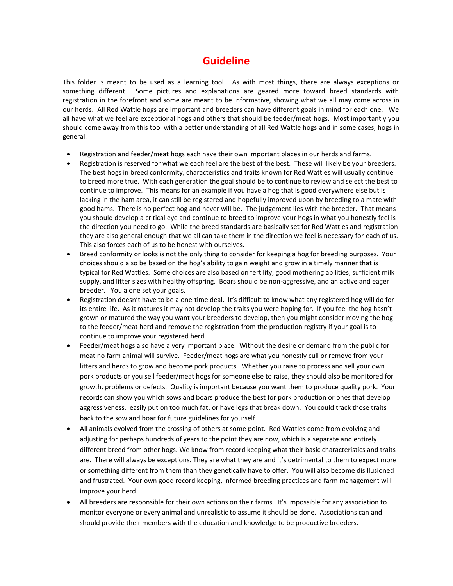## **Guideline**

This folder is meant to be used as a learning tool. As with most things, there are always exceptions or something different. Some pictures and explanations are geared more toward breed standards with registration in the forefront and some are meant to be informative, showing what we all may come across in our herds. All Red Wattle hogs are important and breeders can have different goals in mind for each one. We all have what we feel are exceptional hogs and others that should be feeder/meat hogs. Most importantly you should come away from this tool with a better understanding of all Red Wattle hogs and in some cases, hogs in general.

- Registration and feeder/meat hogs each have their own important places in our herds and farms.
- Registration is reserved for what we each feel are the best of the best. These will likely be your breeders. The best hogs in breed conformity, characteristics and traits known for Red Wattles will usually continue to breed more true. With each generation the goal should be to continue to review and select the best to continue to improve. This means for an example if you have a hog that is good everywhere else but is lacking in the ham area, it can still be registered and hopefully improved upon by breeding to a mate with good hams. There is no perfect hog and never will be. The judgement lies with the breeder. That means you should develop a critical eye and continue to breed to improve your hogs in what you honestly feel is the direction you need to go. While the breed standards are basically set for Red Wattles and registration they are also general enough that we all can take them in the direction we feel is necessary for each of us. This also forces each of us to be honest with ourselves.
- Breed conformity or looks is not the only thing to consider for keeping a hog for breeding purposes. Your choices should also be based on the hog's ability to gain weight and grow in a timely manner that is typical for Red Wattles. Some choices are also based on fertility, good mothering abilities, sufficient milk supply, and litter sizes with healthy offspring. Boars should be non-aggressive, and an active and eager breeder. You alone set your goals.
- Registration doesn't have to be a one-time deal. It's difficult to know what any registered hog will do for its entire life. As it matures it may not develop the traits you were hoping for. If you feel the hog hasn't grown or matured the way you want your breeders to develop, then you might consider moving the hog to the feeder/meat herd and remove the registration from the production registry if your goal is to continue to improve your registered herd.
- Feeder/meat hogs also have a very important place. Without the desire or demand from the public for meat no farm animal will survive. Feeder/meat hogs are what you honestly cull or remove from your litters and herds to grow and become pork products. Whether you raise to process and sell your own pork products or you sell feeder/meat hogs for someone else to raise, they should also be monitored for growth, problems or defects. Quality is important because you want them to produce quality pork. Your records can show you which sows and boars produce the best for pork production or ones that develop aggressiveness, easily put on too much fat, or have legs that break down. You could track those traits back to the sow and boar for future guidelines for yourself.
- All animals evolved from the crossing of others at some point. Red Wattles come from evolving and adjusting for perhaps hundreds of years to the point they are now, which is a separate and entirely different breed from other hogs. We know from record keeping what their basic characteristics and traits are. There will always be exceptions. They are what they are and it's detrimental to them to expect more or something different from them than they genetically have to offer. You will also become disillusioned and frustrated. Your own good record keeping, informed breeding practices and farm management will improve your herd.
- All breeders are responsible for their own actions on their farms. It's impossible for any association to monitor everyone or every animal and unrealistic to assume it should be done. Associations can and should provide their members with the education and knowledge to be productive breeders.